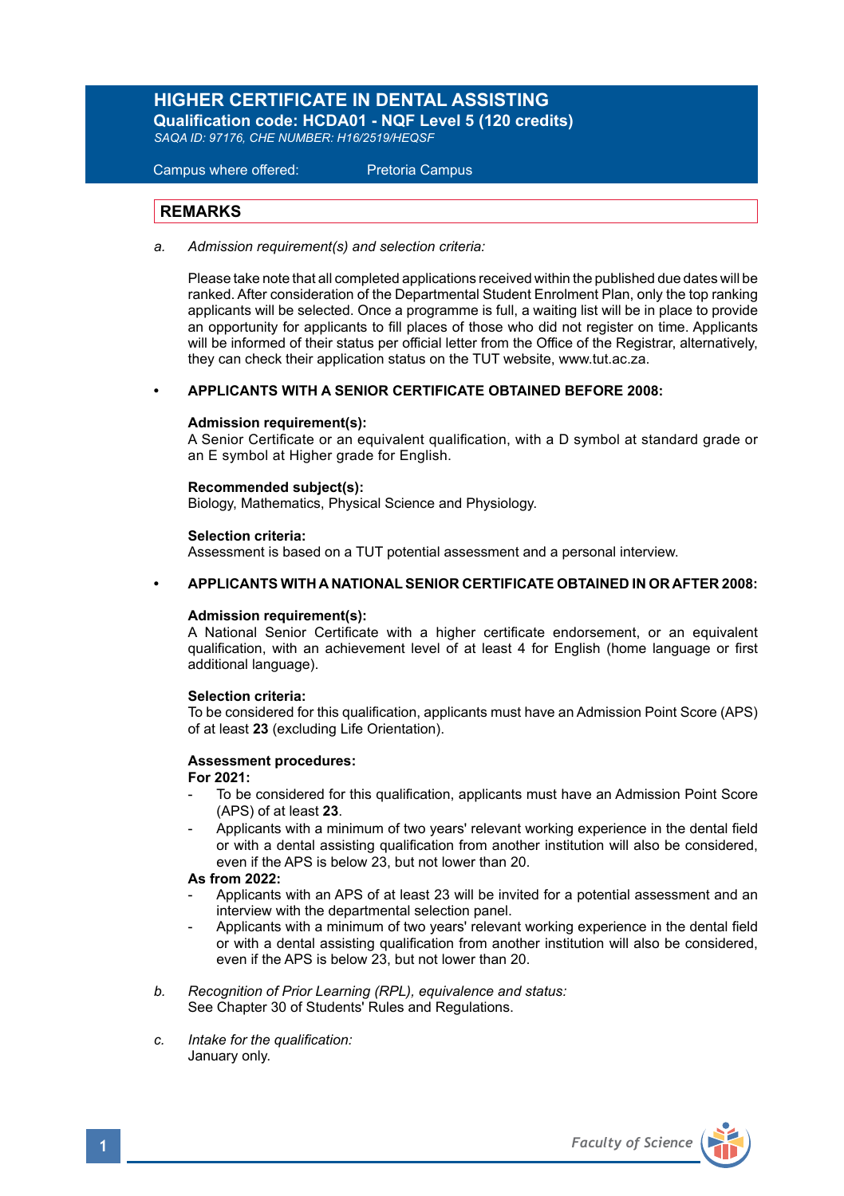# **HIGHER CERTIFICATE IN DENTAL ASSISTING**

**Qualification code: HCDA01 - NQF Level 5 (120 credits)**  *SAQA ID: 97176, CHE NUMBER: H16/2519/HEQSF*

Campus where offered: Pretoria Campus

## **REMARKS**

*a. Admission requirement(s) and selection criteria:* 

Please take note that all completed applications received within the published due dates will be ranked. After consideration of the Departmental Student Enrolment Plan, only the top ranking applicants will be selected. Once a programme is full, a waiting list will be in place to provide an opportunity for applicants to fill places of those who did not register on time. Applicants will be informed of their status per official letter from the Office of the Registrar, alternatively, they can check their application status on the TUT website, www.tut.ac.za.

## **• APPLICANTS WITH A SENIOR CERTIFICATE OBTAINED BEFORE 2008:**

### **Admission requirement(s):**

A Senior Certificate or an equivalent qualification, with a D symbol at standard grade or an E symbol at Higher grade for English.

### **Recommended subject(s):**

Biology, Mathematics, Physical Science and Physiology.

### **Selection criteria:**

Assessment is based on a TUT potential assessment and a personal interview.

### **• APPLICANTS WITH A NATIONAL SENIOR CERTIFICATE OBTAINED IN OR AFTER 2008:**

## **Admission requirement(s):**

A National Senior Certificate with a higher certificate endorsement, or an equivalent qualification, with an achievement level of at least 4 for English (home language or first additional language).

### **Selection criteria:**

To be considered for this qualification, applicants must have an Admission Point Score (APS) of at least **23** (excluding Life Orientation).

## **Assessment procedures:**

### **For 2021:**

- To be considered for this qualification, applicants must have an Admission Point Score (APS) of at least **23**.
- Applicants with a minimum of two years' relevant working experience in the dental field or with a dental assisting qualification from another institution will also be considered, even if the APS is below 23, but not lower than 20.

## **As from 2022:**

- Applicants with an APS of at least 23 will be invited for a potential assessment and an interview with the departmental selection panel.
- Applicants with a minimum of two years' relevant working experience in the dental field or with a dental assisting qualification from another institution will also be considered, even if the APS is below 23, but not lower than 20.
- *b. Recognition of Prior Learning (RPL), equivalence and status:* See Chapter 30 of Students' Rules and Regulations.
- *c. Intake for the qualification:* January only.

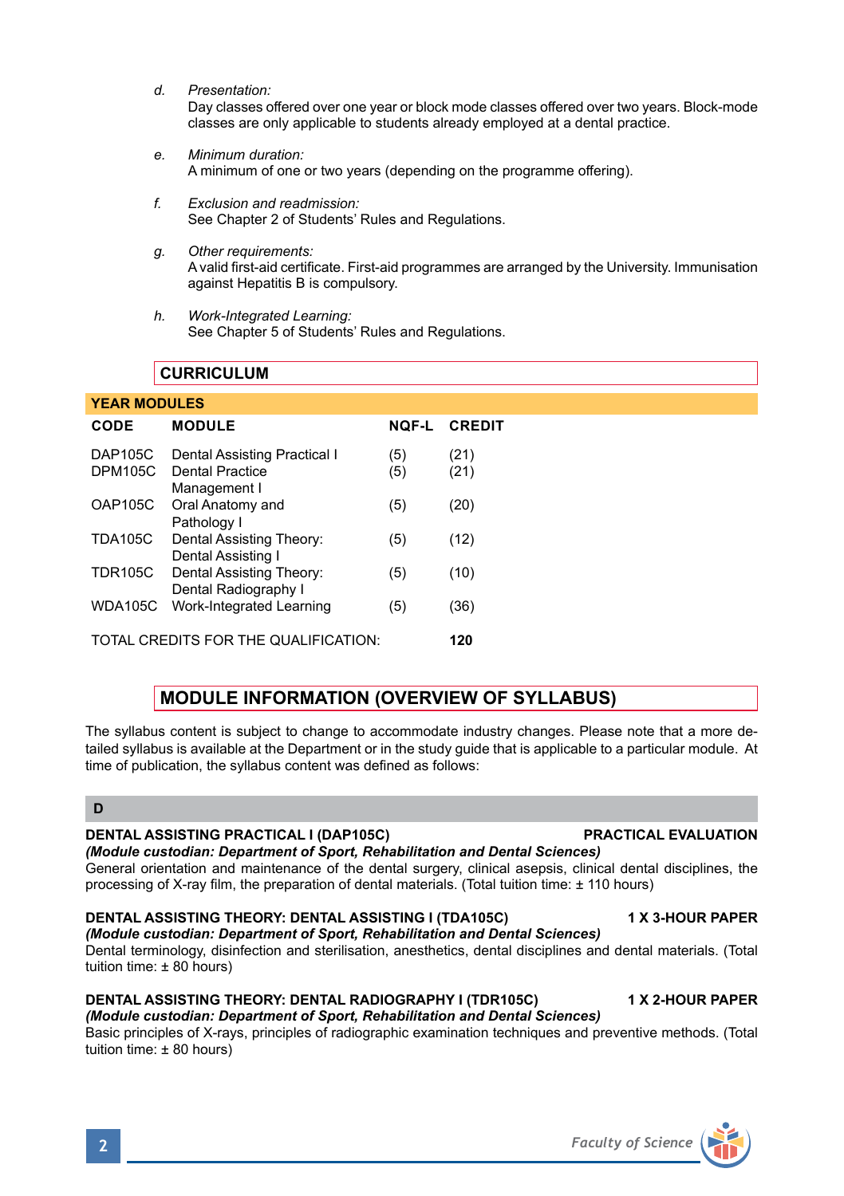*d. Presentation:*

Day classes offered over one year or block mode classes offered over two years. Block-mode classes are only applicable to students already employed at a dental practice.

- *e. Minimum duration:* A minimum of one or two years (depending on the programme offering).
- *f. Exclusion and readmission:* See Chapter 2 of Students' Rules and Regulations.
- *g. Other requirements:* A valid first-aid certificate. First-aid programmes are arranged by the University. Immunisation against Hepatitis B is compulsory.
- *h. Work-Integrated Learning:* See Chapter 5 of Students' Rules and Regulations.

# **CURRICULUM**

## **YEAR MODULES**

| CODE                                 | <b>MODULE</b>                | <b>NOF-L</b> | <b>CREDIT</b> |
|--------------------------------------|------------------------------|--------------|---------------|
| <b>DAP105C</b>                       | Dental Assisting Practical I | (5)          | (21)          |
| <b>DPM105C</b>                       | <b>Dental Practice</b>       | (5)          | (21)          |
|                                      | Management I                 |              |               |
| <b>OAP105C</b>                       | Oral Anatomy and             | (5)          | (20)          |
|                                      | Pathology I                  |              |               |
| <b>TDA105C</b>                       | Dental Assisting Theory:     | (5)          | (12)          |
|                                      | Dental Assisting I           |              |               |
| <b>TDR105C</b>                       | Dental Assisting Theory:     | (5)          | (10)          |
|                                      | Dental Radiography I         |              |               |
| <b>WDA105C</b>                       | Work-Integrated Learning     | (5)          | (36)          |
|                                      |                              |              |               |
| TOTAL CREDITS FOR THE QUALIFICATION: |                              |              | 120           |

# **MODULE INFORMATION (OVERVIEW OF SYLLABUS)**

The syllabus content is subject to change to accommodate industry changes. Please note that a more detailed syllabus is available at the Department or in the study guide that is applicable to a particular module. At time of publication, the syllabus content was defined as follows:

# **D**

## **DENTAL ASSISTING PRACTICAL I (DAP105C) PRACTICAL EVALUATION**

## *(Module custodian: Department of Sport, Rehabilitation and Dental Sciences)*

General orientation and maintenance of the dental surgery, clinical asepsis, clinical dental disciplines, the processing of X-ray film, the preparation of dental materials. (Total tuition time: ± 110 hours)

## **DENTAL ASSISTING THEORY: DENTAL ASSISTING I (TDA105C) 1 X 3-HOUR PAPER**

*(Module custodian: Department of Sport, Rehabilitation and Dental Sciences)* Dental terminology, disinfection and sterilisation, anesthetics, dental disciplines and dental materials. (Total tuition time: ± 80 hours)

# **DENTAL ASSISTING THEORY: DENTAL RADIOGRAPHY I (TDR105C) 4 X 2-HOUR PAPER**

#### *(Module custodian: Department of Sport, Rehabilitation and Dental Sciences)* Basic principles of X-rays, principles of radiographic examination techniques and preventive methods. (Total tuition time: ± 80 hours)